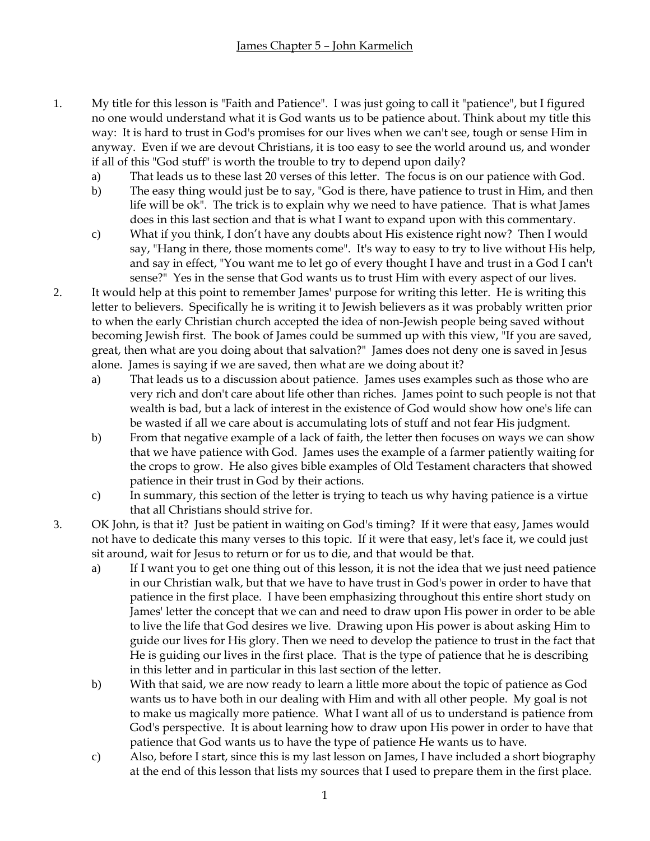- 1. My title for this lesson is "Faith and Patience". I was just going to call it "patience", but I figured no one would understand what it is God wants us to be patience about. Think about my title this way: It is hard to trust in God's promises for our lives when we can't see, tough or sense Him in anyway. Even if we are devout Christians, it is too easy to see the world around us, and wonder if all of this "God stuff" is worth the trouble to try to depend upon daily?
	- a) That leads us to these last 20 verses of this letter. The focus is on our patience with God.
	- b) The easy thing would just be to say, "God is there, have patience to trust in Him, and then life will be ok". The trick is to explain why we need to have patience. That is what James does in this last section and that is what I want to expand upon with this commentary.
	- c) What if you think, I don't have any doubts about His existence right now? Then I would say, "Hang in there, those moments come". It's way to easy to try to live without His help, and say in effect, "You want me to let go of every thought I have and trust in a God I can't sense?" Yes in the sense that God wants us to trust Him with every aspect of our lives.
- 2. It would help at this point to remember James' purpose for writing this letter. He is writing this letter to believers. Specifically he is writing it to Jewish believers as it was probably written prior to when the early Christian church accepted the idea of non-Jewish people being saved without becoming Jewish first. The book of James could be summed up with this view, "If you are saved, great, then what are you doing about that salvation?" James does not deny one is saved in Jesus alone. James is saying if we are saved, then what are we doing about it?
	- a) That leads us to a discussion about patience. James uses examples such as those who are very rich and don't care about life other than riches. James point to such people is not that wealth is bad, but a lack of interest in the existence of God would show how one's life can be wasted if all we care about is accumulating lots of stuff and not fear His judgment.
	- b) From that negative example of a lack of faith, the letter then focuses on ways we can show that we have patience with God. James uses the example of a farmer patiently waiting for the crops to grow. He also gives bible examples of Old Testament characters that showed patience in their trust in God by their actions.
	- c) In summary, this section of the letter is trying to teach us why having patience is a virtue that all Christians should strive for.
- 3. OK John, is that it? Just be patient in waiting on God's timing? If it were that easy, James would not have to dedicate this many verses to this topic. If it were that easy, let's face it, we could just sit around, wait for Jesus to return or for us to die, and that would be that.
	- a) If I want you to get one thing out of this lesson, it is not the idea that we just need patience in our Christian walk, but that we have to have trust in God's power in order to have that patience in the first place. I have been emphasizing throughout this entire short study on James' letter the concept that we can and need to draw upon His power in order to be able to live the life that God desires we live. Drawing upon His power is about asking Him to guide our lives for His glory. Then we need to develop the patience to trust in the fact that He is guiding our lives in the first place. That is the type of patience that he is describing in this letter and in particular in this last section of the letter.
	- b) With that said, we are now ready to learn a little more about the topic of patience as God wants us to have both in our dealing with Him and with all other people. My goal is not to make us magically more patience. What I want all of us to understand is patience from God's perspective. It is about learning how to draw upon His power in order to have that patience that God wants us to have the type of patience He wants us to have.
	- c) Also, before I start, since this is my last lesson on James, I have included a short biography at the end of this lesson that lists my sources that I used to prepare them in the first place.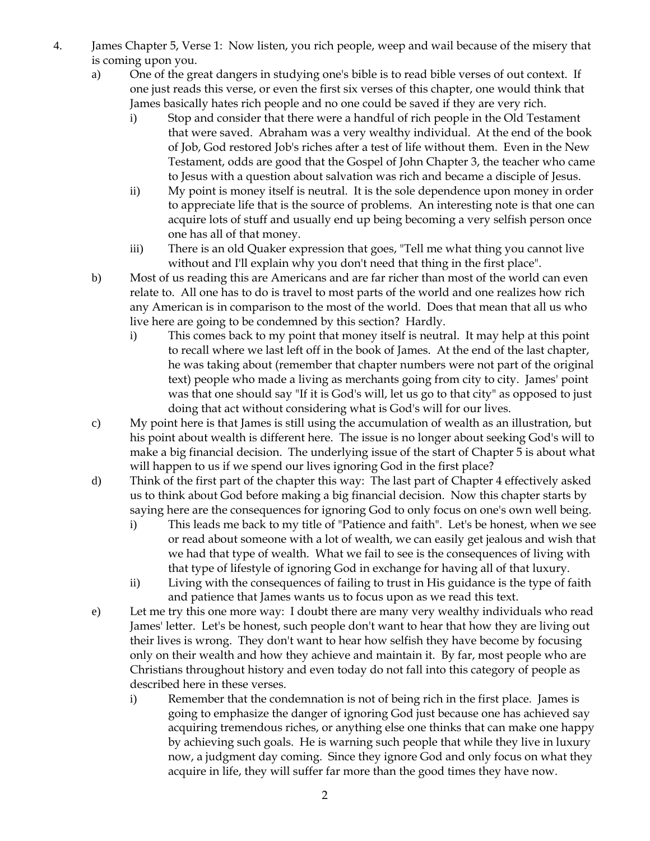- 4. James Chapter 5, Verse 1: Now listen, you rich people, weep and wail because of the misery that is coming upon you.
	- a) One of the great dangers in studying one's bible is to read bible verses of out context. If one just reads this verse, or even the first six verses of this chapter, one would think that James basically hates rich people and no one could be saved if they are very rich.
		- i) Stop and consider that there were a handful of rich people in the Old Testament that were saved. Abraham was a very wealthy individual. At the end of the book of Job, God restored Job's riches after a test of life without them. Even in the New Testament, odds are good that the Gospel of John Chapter 3, the teacher who came to Jesus with a question about salvation was rich and became a disciple of Jesus.
		- ii) My point is money itself is neutral. It is the sole dependence upon money in order to appreciate life that is the source of problems. An interesting note is that one can acquire lots of stuff and usually end up being becoming a very selfish person once one has all of that money.
		- iii) There is an old Quaker expression that goes, "Tell me what thing you cannot live without and I'll explain why you don't need that thing in the first place".
	- b) Most of us reading this are Americans and are far richer than most of the world can even relate to. All one has to do is travel to most parts of the world and one realizes how rich any American is in comparison to the most of the world. Does that mean that all us who live here are going to be condemned by this section? Hardly.
		- i) This comes back to my point that money itself is neutral. It may help at this point to recall where we last left off in the book of James. At the end of the last chapter, he was taking about (remember that chapter numbers were not part of the original text) people who made a living as merchants going from city to city. James' point was that one should say "If it is God's will, let us go to that city" as opposed to just doing that act without considering what is God's will for our lives.
	- c) My point here is that James is still using the accumulation of wealth as an illustration, but his point about wealth is different here. The issue is no longer about seeking God's will to make a big financial decision. The underlying issue of the start of Chapter 5 is about what will happen to us if we spend our lives ignoring God in the first place?
	- d) Think of the first part of the chapter this way: The last part of Chapter 4 effectively asked us to think about God before making a big financial decision. Now this chapter starts by saying here are the consequences for ignoring God to only focus on one's own well being.
		- i) This leads me back to my title of "Patience and faith". Let's be honest, when we see or read about someone with a lot of wealth, we can easily get jealous and wish that we had that type of wealth. What we fail to see is the consequences of living with that type of lifestyle of ignoring God in exchange for having all of that luxury.
		- ii) Living with the consequences of failing to trust in His guidance is the type of faith and patience that James wants us to focus upon as we read this text.
	- e) Let me try this one more way: I doubt there are many very wealthy individuals who read James' letter. Let's be honest, such people don't want to hear that how they are living out their lives is wrong. They don't want to hear how selfish they have become by focusing only on their wealth and how they achieve and maintain it. By far, most people who are Christians throughout history and even today do not fall into this category of people as described here in these verses.
		- i) Remember that the condemnation is not of being rich in the first place. James is going to emphasize the danger of ignoring God just because one has achieved say acquiring tremendous riches, or anything else one thinks that can make one happy by achieving such goals. He is warning such people that while they live in luxury now, a judgment day coming. Since they ignore God and only focus on what they acquire in life, they will suffer far more than the good times they have now.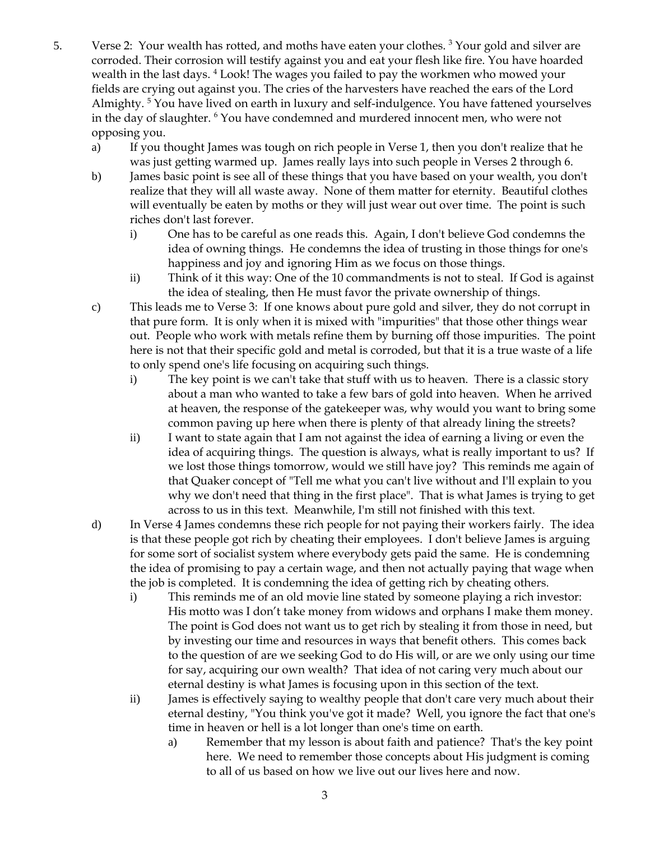- 5. Verse 2: Your wealth has rotted, and moths have eaten your clothes. <sup>3</sup> Your gold and silver are corroded. Their corrosion will testify against you and eat your flesh like fire. You have hoarded wealth in the last days. <sup>4</sup> Look! The wages you failed to pay the workmen who mowed your fields are crying out against you. The cries of the harvesters have reached the ears of the Lord Almighty.<sup>5</sup> You have lived on earth in luxury and self-indulgence. You have fattened yourselves in the day of slaughter. <sup>6</sup> You have condemned and murdered innocent men, who were not opposing you.
	- a) If you thought James was tough on rich people in Verse 1, then you don't realize that he was just getting warmed up. James really lays into such people in Verses 2 through 6.
	- b) James basic point is see all of these things that you have based on your wealth, you don't realize that they will all waste away. None of them matter for eternity. Beautiful clothes will eventually be eaten by moths or they will just wear out over time. The point is such riches don't last forever.
		- i) One has to be careful as one reads this. Again, I don't believe God condemns the idea of owning things. He condemns the idea of trusting in those things for one's happiness and joy and ignoring Him as we focus on those things.
		- ii) Think of it this way: One of the 10 commandments is not to steal. If God is against the idea of stealing, then He must favor the private ownership of things.
	- c) This leads me to Verse 3: If one knows about pure gold and silver, they do not corrupt in that pure form. It is only when it is mixed with "impurities" that those other things wear out. People who work with metals refine them by burning off those impurities. The point here is not that their specific gold and metal is corroded, but that it is a true waste of a life to only spend one's life focusing on acquiring such things.
		- i) The key point is we can't take that stuff with us to heaven. There is a classic story about a man who wanted to take a few bars of gold into heaven. When he arrived at heaven, the response of the gatekeeper was, why would you want to bring some common paving up here when there is plenty of that already lining the streets?
		- ii) I want to state again that I am not against the idea of earning a living or even the idea of acquiring things. The question is always, what is really important to us? If we lost those things tomorrow, would we still have joy? This reminds me again of that Quaker concept of "Tell me what you can't live without and I'll explain to you why we don't need that thing in the first place". That is what James is trying to get across to us in this text. Meanwhile, I'm still not finished with this text.
	- d) In Verse 4 James condemns these rich people for not paying their workers fairly. The idea is that these people got rich by cheating their employees. I don't believe James is arguing for some sort of socialist system where everybody gets paid the same. He is condemning the idea of promising to pay a certain wage, and then not actually paying that wage when the job is completed. It is condemning the idea of getting rich by cheating others.
		- i) This reminds me of an old movie line stated by someone playing a rich investor: His motto was I don't take money from widows and orphans I make them money. The point is God does not want us to get rich by stealing it from those in need, but by investing our time and resources in ways that benefit others. This comes back to the question of are we seeking God to do His will, or are we only using our time for say, acquiring our own wealth? That idea of not caring very much about our eternal destiny is what James is focusing upon in this section of the text.
		- ii) James is effectively saying to wealthy people that don't care very much about their eternal destiny, "You think you've got it made? Well, you ignore the fact that one's time in heaven or hell is a lot longer than one's time on earth.
			- a) Remember that my lesson is about faith and patience? That's the key point here. We need to remember those concepts about His judgment is coming to all of us based on how we live out our lives here and now.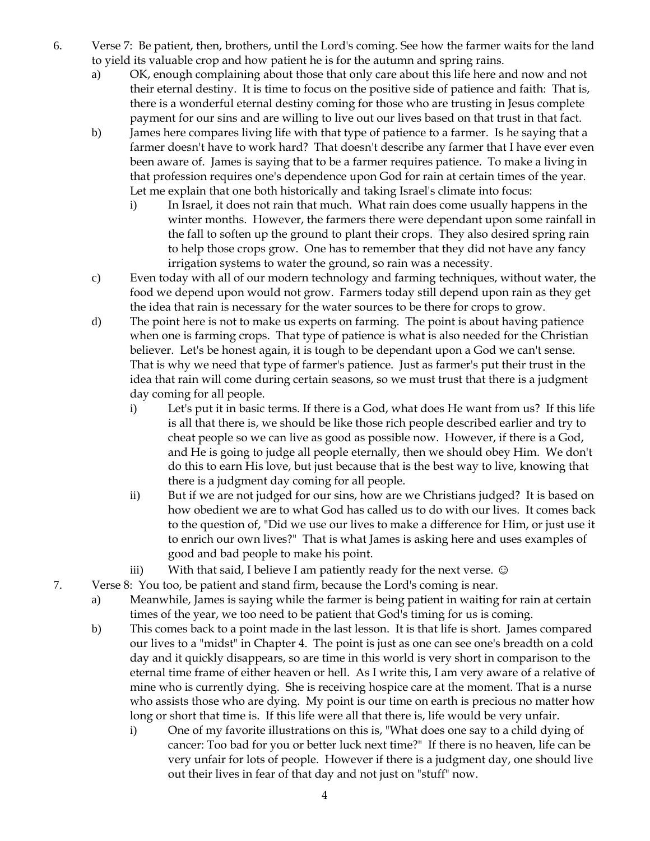- 6. Verse 7: Be patient, then, brothers, until the Lord's coming. See how the farmer waits for the land to yield its valuable crop and how patient he is for the autumn and spring rains.
	- a) OK, enough complaining about those that only care about this life here and now and not their eternal destiny. It is time to focus on the positive side of patience and faith: That is, there is a wonderful eternal destiny coming for those who are trusting in Jesus complete payment for our sins and are willing to live out our lives based on that trust in that fact.
	- b) James here compares living life with that type of patience to a farmer. Is he saying that a farmer doesn't have to work hard? That doesn't describe any farmer that I have ever even been aware of. James is saying that to be a farmer requires patience. To make a living in that profession requires one's dependence upon God for rain at certain times of the year. Let me explain that one both historically and taking Israel's climate into focus:
		- i) In Israel, it does not rain that much. What rain does come usually happens in the winter months. However, the farmers there were dependant upon some rainfall in the fall to soften up the ground to plant their crops. They also desired spring rain to help those crops grow. One has to remember that they did not have any fancy irrigation systems to water the ground, so rain was a necessity.
	- c) Even today with all of our modern technology and farming techniques, without water, the food we depend upon would not grow. Farmers today still depend upon rain as they get the idea that rain is necessary for the water sources to be there for crops to grow.
	- d) The point here is not to make us experts on farming. The point is about having patience when one is farming crops. That type of patience is what is also needed for the Christian believer. Let's be honest again, it is tough to be dependant upon a God we can't sense. That is why we need that type of farmer's patience. Just as farmer's put their trust in the idea that rain will come during certain seasons, so we must trust that there is a judgment day coming for all people.
		- i) Let's put it in basic terms. If there is a God, what does He want from us? If this life is all that there is, we should be like those rich people described earlier and try to cheat people so we can live as good as possible now. However, if there is a God, and He is going to judge all people eternally, then we should obey Him. We don't do this to earn His love, but just because that is the best way to live, knowing that there is a judgment day coming for all people.
		- ii) But if we are not judged for our sins, how are we Christians judged? It is based on how obedient we are to what God has called us to do with our lives. It comes back to the question of, "Did we use our lives to make a difference for Him, or just use it to enrich our own lives?" That is what James is asking here and uses examples of good and bad people to make his point.
		- iii) With that said, I believe I am patiently ready for the next verse.  $\odot$
- 7. Verse 8: You too, be patient and stand firm, because the Lord's coming is near.
	- a) Meanwhile, James is saying while the farmer is being patient in waiting for rain at certain times of the year, we too need to be patient that God's timing for us is coming.
	- b) This comes back to a point made in the last lesson. It is that life is short. James compared our lives to a "midst" in Chapter 4. The point is just as one can see one's breadth on a cold day and it quickly disappears, so are time in this world is very short in comparison to the eternal time frame of either heaven or hell. As I write this, I am very aware of a relative of mine who is currently dying. She is receiving hospice care at the moment. That is a nurse who assists those who are dying. My point is our time on earth is precious no matter how long or short that time is. If this life were all that there is, life would be very unfair.
		- i) One of my favorite illustrations on this is, "What does one say to a child dying of cancer: Too bad for you or better luck next time?" If there is no heaven, life can be very unfair for lots of people. However if there is a judgment day, one should live out their lives in fear of that day and not just on "stuff" now.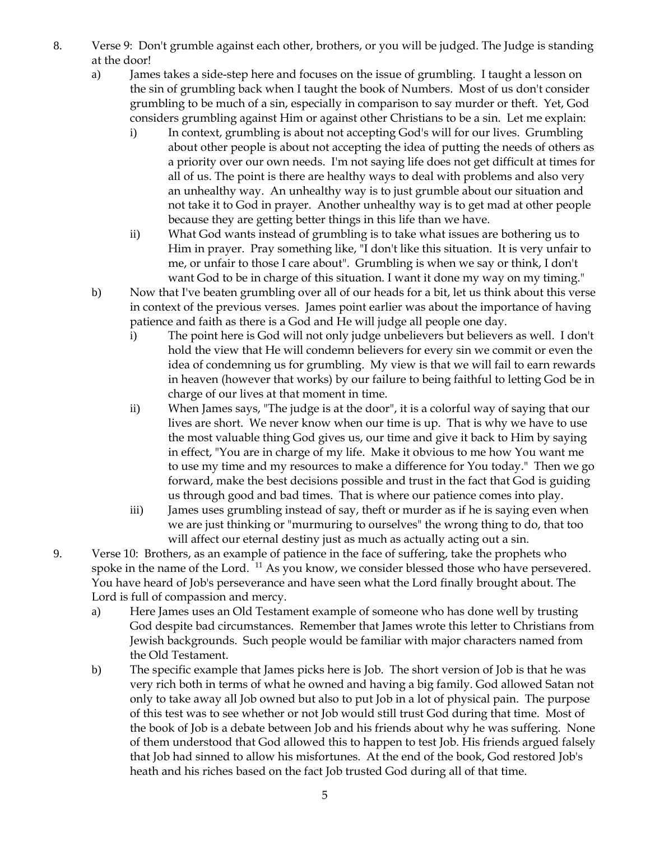- 8. Verse 9: Don't grumble against each other, brothers, or you will be judged. The Judge is standing at the door!
	- a) James takes a side-step here and focuses on the issue of grumbling. I taught a lesson on the sin of grumbling back when I taught the book of Numbers. Most of us don't consider grumbling to be much of a sin, especially in comparison to say murder or theft. Yet, God considers grumbling against Him or against other Christians to be a sin. Let me explain:
		- i) In context, grumbling is about not accepting God's will for our lives. Grumbling about other people is about not accepting the idea of putting the needs of others as a priority over our own needs. I'm not saying life does not get difficult at times for all of us. The point is there are healthy ways to deal with problems and also very an unhealthy way. An unhealthy way is to just grumble about our situation and not take it to God in prayer. Another unhealthy way is to get mad at other people because they are getting better things in this life than we have.
		- ii) What God wants instead of grumbling is to take what issues are bothering us to Him in prayer. Pray something like, "I don't like this situation. It is very unfair to me, or unfair to those I care about". Grumbling is when we say or think, I don't want God to be in charge of this situation. I want it done my way on my timing."
	- b) Now that I've beaten grumbling over all of our heads for a bit, let us think about this verse in context of the previous verses. James point earlier was about the importance of having patience and faith as there is a God and He will judge all people one day.
		- i) The point here is God will not only judge unbelievers but believers as well. I don't hold the view that He will condemn believers for every sin we commit or even the idea of condemning us for grumbling. My view is that we will fail to earn rewards in heaven (however that works) by our failure to being faithful to letting God be in charge of our lives at that moment in time.
		- ii) When James says, "The judge is at the door", it is a colorful way of saying that our lives are short. We never know when our time is up. That is why we have to use the most valuable thing God gives us, our time and give it back to Him by saying in effect, "You are in charge of my life. Make it obvious to me how You want me to use my time and my resources to make a difference for You today." Then we go forward, make the best decisions possible and trust in the fact that God is guiding us through good and bad times. That is where our patience comes into play.
		- iii) James uses grumbling instead of say, theft or murder as if he is saying even when we are just thinking or "murmuring to ourselves" the wrong thing to do, that too will affect our eternal destiny just as much as actually acting out a sin.
- 9. Verse 10: Brothers, as an example of patience in the face of suffering, take the prophets who spoke in the name of the Lord. <sup>11</sup> As you know, we consider blessed those who have persevered. You have heard of Job's perseverance and have seen what the Lord finally brought about. The Lord is full of compassion and mercy.
	- a) Here James uses an Old Testament example of someone who has done well by trusting God despite bad circumstances. Remember that James wrote this letter to Christians from Jewish backgrounds. Such people would be familiar with major characters named from the Old Testament.
	- b) The specific example that James picks here is Job. The short version of Job is that he was very rich both in terms of what he owned and having a big family. God allowed Satan not only to take away all Job owned but also to put Job in a lot of physical pain. The purpose of this test was to see whether or not Job would still trust God during that time. Most of the book of Job is a debate between Job and his friends about why he was suffering. None of them understood that God allowed this to happen to test Job. His friends argued falsely that Job had sinned to allow his misfortunes. At the end of the book, God restored Job's heath and his riches based on the fact Job trusted God during all of that time.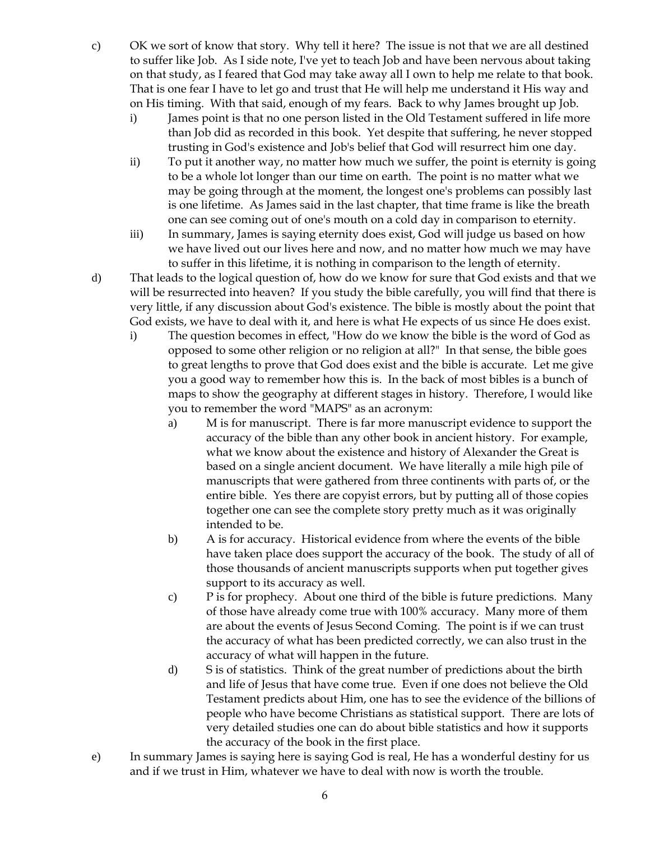- c) OK we sort of know that story. Why tell it here? The issue is not that we are all destined to suffer like Job. As I side note, I've yet to teach Job and have been nervous about taking on that study, as I feared that God may take away all I own to help me relate to that book. That is one fear I have to let go and trust that He will help me understand it His way and on His timing. With that said, enough of my fears. Back to why James brought up Job.
	- i) James point is that no one person listed in the Old Testament suffered in life more than Job did as recorded in this book. Yet despite that suffering, he never stopped trusting in God's existence and Job's belief that God will resurrect him one day.
	- ii) To put it another way, no matter how much we suffer, the point is eternity is going to be a whole lot longer than our time on earth. The point is no matter what we may be going through at the moment, the longest one's problems can possibly last is one lifetime. As James said in the last chapter, that time frame is like the breath one can see coming out of one's mouth on a cold day in comparison to eternity.
	- iii) In summary, James is saying eternity does exist, God will judge us based on how we have lived out our lives here and now, and no matter how much we may have to suffer in this lifetime, it is nothing in comparison to the length of eternity.
- d) That leads to the logical question of, how do we know for sure that God exists and that we will be resurrected into heaven? If you study the bible carefully, you will find that there is very little, if any discussion about God's existence. The bible is mostly about the point that God exists, we have to deal with it, and here is what He expects of us since He does exist.
	- i) The question becomes in effect, "How do we know the bible is the word of God as opposed to some other religion or no religion at all?" In that sense, the bible goes to great lengths to prove that God does exist and the bible is accurate. Let me give you a good way to remember how this is. In the back of most bibles is a bunch of maps to show the geography at different stages in history. Therefore, I would like you to remember the word "MAPS" as an acronym:
		- a) M is for manuscript. There is far more manuscript evidence to support the accuracy of the bible than any other book in ancient history. For example, what we know about the existence and history of Alexander the Great is based on a single ancient document. We have literally a mile high pile of manuscripts that were gathered from three continents with parts of, or the entire bible. Yes there are copyist errors, but by putting all of those copies together one can see the complete story pretty much as it was originally intended to be.
		- b) A is for accuracy. Historical evidence from where the events of the bible have taken place does support the accuracy of the book. The study of all of those thousands of ancient manuscripts supports when put together gives support to its accuracy as well.
		- c) P is for prophecy. About one third of the bible is future predictions. Many of those have already come true with 100% accuracy. Many more of them are about the events of Jesus Second Coming. The point is if we can trust the accuracy of what has been predicted correctly, we can also trust in the accuracy of what will happen in the future.
		- d) S is of statistics. Think of the great number of predictions about the birth and life of Jesus that have come true. Even if one does not believe the Old Testament predicts about Him, one has to see the evidence of the billions of people who have become Christians as statistical support. There are lots of very detailed studies one can do about bible statistics and how it supports the accuracy of the book in the first place.
- e) In summary James is saying here is saying God is real, He has a wonderful destiny for us and if we trust in Him, whatever we have to deal with now is worth the trouble.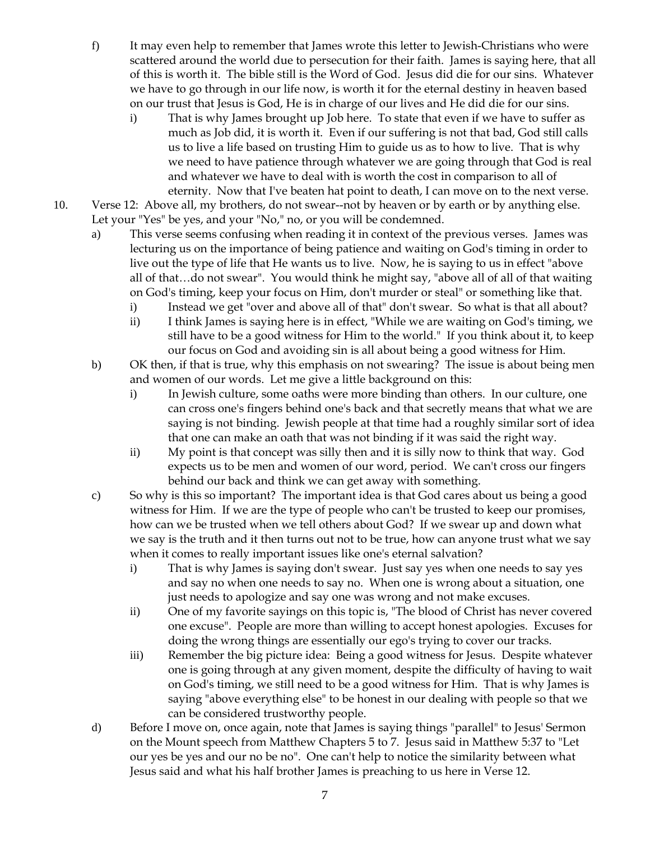- f) It may even help to remember that James wrote this letter to Jewish-Christians who were scattered around the world due to persecution for their faith. James is saying here, that all of this is worth it. The bible still is the Word of God. Jesus did die for our sins. Whatever we have to go through in our life now, is worth it for the eternal destiny in heaven based on our trust that Jesus is God, He is in charge of our lives and He did die for our sins.
	- i) That is why James brought up Job here. To state that even if we have to suffer as much as Job did, it is worth it. Even if our suffering is not that bad, God still calls us to live a life based on trusting Him to guide us as to how to live. That is why we need to have patience through whatever we are going through that God is real and whatever we have to deal with is worth the cost in comparison to all of eternity. Now that I've beaten hat point to death, I can move on to the next verse.
- 10. Verse 12: Above all, my brothers, do not swear--not by heaven or by earth or by anything else. Let your "Yes" be yes, and your "No," no, or you will be condemned.
	- a) This verse seems confusing when reading it in context of the previous verses. James was lecturing us on the importance of being patience and waiting on God's timing in order to live out the type of life that He wants us to live. Now, he is saying to us in effect "above all of that…do not swear". You would think he might say, "above all of all of that waiting on God's timing, keep your focus on Him, don't murder or steal" or something like that.
		- i) Instead we get "over and above all of that" don't swear. So what is that all about?
		- ii) I think James is saying here is in effect, "While we are waiting on God's timing, we still have to be a good witness for Him to the world." If you think about it, to keep our focus on God and avoiding sin is all about being a good witness for Him.
	- b) OK then, if that is true, why this emphasis on not swearing? The issue is about being men and women of our words. Let me give a little background on this:
		- i) In Jewish culture, some oaths were more binding than others. In our culture, one can cross one's fingers behind one's back and that secretly means that what we are saying is not binding. Jewish people at that time had a roughly similar sort of idea that one can make an oath that was not binding if it was said the right way.
		- ii) My point is that concept was silly then and it is silly now to think that way. God expects us to be men and women of our word, period. We can't cross our fingers behind our back and think we can get away with something.
	- c) So why is this so important? The important idea is that God cares about us being a good witness for Him. If we are the type of people who can't be trusted to keep our promises, how can we be trusted when we tell others about God? If we swear up and down what we say is the truth and it then turns out not to be true, how can anyone trust what we say when it comes to really important issues like one's eternal salvation?
		- i) That is why James is saying don't swear. Just say yes when one needs to say yes and say no when one needs to say no. When one is wrong about a situation, one just needs to apologize and say one was wrong and not make excuses.
		- ii) One of my favorite sayings on this topic is, "The blood of Christ has never covered one excuse". People are more than willing to accept honest apologies. Excuses for doing the wrong things are essentially our ego's trying to cover our tracks.
		- iii) Remember the big picture idea: Being a good witness for Jesus. Despite whatever one is going through at any given moment, despite the difficulty of having to wait on God's timing, we still need to be a good witness for Him. That is why James is saying "above everything else" to be honest in our dealing with people so that we can be considered trustworthy people.
	- d) Before I move on, once again, note that James is saying things "parallel" to Jesus' Sermon on the Mount speech from Matthew Chapters 5 to 7. Jesus said in Matthew 5:37 to "Let our yes be yes and our no be no". One can't help to notice the similarity between what Jesus said and what his half brother James is preaching to us here in Verse 12.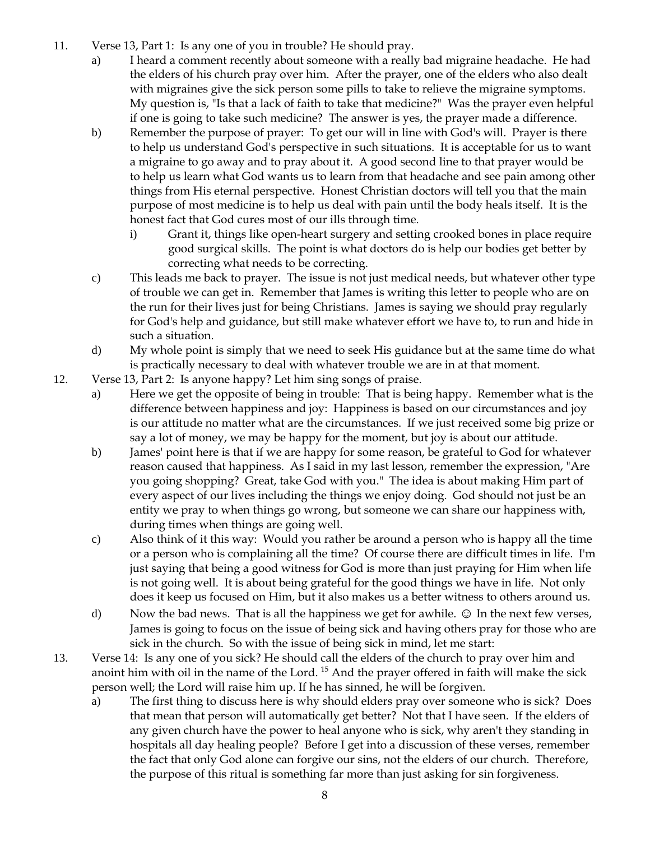- 11. Verse 13, Part 1: Is any one of you in trouble? He should pray.
	- a) I heard a comment recently about someone with a really bad migraine headache. He had the elders of his church pray over him. After the prayer, one of the elders who also dealt with migraines give the sick person some pills to take to relieve the migraine symptoms. My question is, "Is that a lack of faith to take that medicine?" Was the prayer even helpful if one is going to take such medicine? The answer is yes, the prayer made a difference.
	- b) Remember the purpose of prayer: To get our will in line with God's will. Prayer is there to help us understand God's perspective in such situations. It is acceptable for us to want a migraine to go away and to pray about it. A good second line to that prayer would be to help us learn what God wants us to learn from that headache and see pain among other things from His eternal perspective. Honest Christian doctors will tell you that the main purpose of most medicine is to help us deal with pain until the body heals itself. It is the honest fact that God cures most of our ills through time.
		- i) Grant it, things like open-heart surgery and setting crooked bones in place require good surgical skills. The point is what doctors do is help our bodies get better by correcting what needs to be correcting.
	- c) This leads me back to prayer. The issue is not just medical needs, but whatever other type of trouble we can get in. Remember that James is writing this letter to people who are on the run for their lives just for being Christians. James is saying we should pray regularly for God's help and guidance, but still make whatever effort we have to, to run and hide in such a situation.
	- d) My whole point is simply that we need to seek His guidance but at the same time do what is practically necessary to deal with whatever trouble we are in at that moment.
- 12. Verse 13, Part 2: Is anyone happy? Let him sing songs of praise.
	- a) Here we get the opposite of being in trouble: That is being happy. Remember what is the difference between happiness and joy: Happiness is based on our circumstances and joy is our attitude no matter what are the circumstances. If we just received some big prize or say a lot of money, we may be happy for the moment, but joy is about our attitude.
	- b) James' point here is that if we are happy for some reason, be grateful to God for whatever reason caused that happiness. As I said in my last lesson, remember the expression, "Are you going shopping? Great, take God with you." The idea is about making Him part of every aspect of our lives including the things we enjoy doing. God should not just be an entity we pray to when things go wrong, but someone we can share our happiness with, during times when things are going well.
	- c) Also think of it this way: Would you rather be around a person who is happy all the time or a person who is complaining all the time? Of course there are difficult times in life. I'm just saying that being a good witness for God is more than just praying for Him when life is not going well. It is about being grateful for the good things we have in life. Not only does it keep us focused on Him, but it also makes us a better witness to others around us.
	- d) Now the bad news. That is all the happiness we get for awhile.  $\odot$  In the next few verses, James is going to focus on the issue of being sick and having others pray for those who are sick in the church. So with the issue of being sick in mind, let me start:
- 13. Verse 14: Is any one of you sick? He should call the elders of the church to pray over him and anoint him with oil in the name of the Lord. <sup>15</sup> And the prayer offered in faith will make the sick person well; the Lord will raise him up. If he has sinned, he will be forgiven.
	- a) The first thing to discuss here is why should elders pray over someone who is sick? Does that mean that person will automatically get better? Not that I have seen. If the elders of any given church have the power to heal anyone who is sick, why aren't they standing in hospitals all day healing people? Before I get into a discussion of these verses, remember the fact that only God alone can forgive our sins, not the elders of our church. Therefore, the purpose of this ritual is something far more than just asking for sin forgiveness.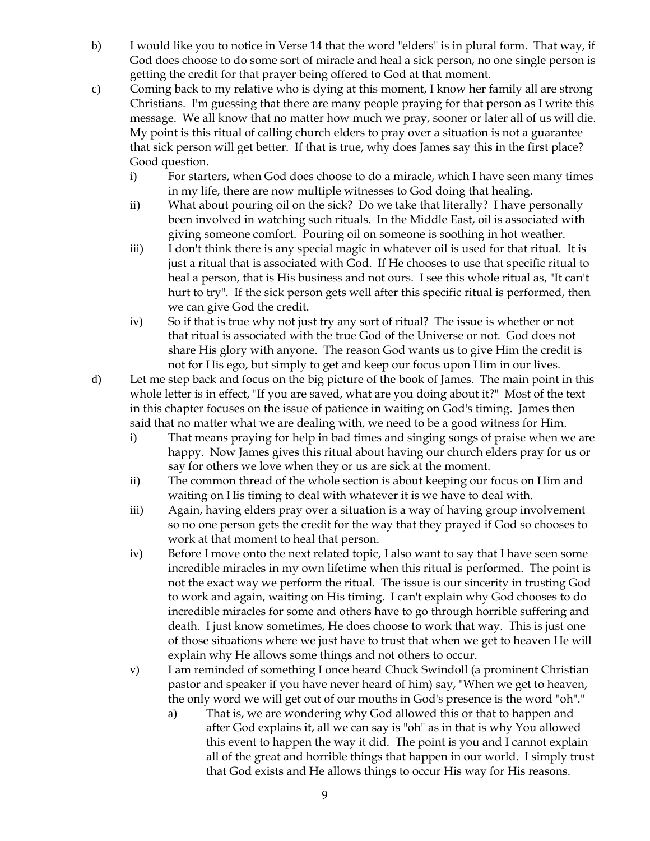- b) I would like you to notice in Verse 14 that the word "elders" is in plural form. That way, if God does choose to do some sort of miracle and heal a sick person, no one single person is getting the credit for that prayer being offered to God at that moment.
- c) Coming back to my relative who is dying at this moment, I know her family all are strong Christians. I'm guessing that there are many people praying for that person as I write this message. We all know that no matter how much we pray, sooner or later all of us will die. My point is this ritual of calling church elders to pray over a situation is not a guarantee that sick person will get better. If that is true, why does James say this in the first place? Good question.
	- i) For starters, when God does choose to do a miracle, which I have seen many times in my life, there are now multiple witnesses to God doing that healing.
	- ii) What about pouring oil on the sick? Do we take that literally? I have personally been involved in watching such rituals. In the Middle East, oil is associated with giving someone comfort. Pouring oil on someone is soothing in hot weather.
	- iii) I don't think there is any special magic in whatever oil is used for that ritual. It is just a ritual that is associated with God. If He chooses to use that specific ritual to heal a person, that is His business and not ours. I see this whole ritual as, "It can't hurt to try". If the sick person gets well after this specific ritual is performed, then we can give God the credit.
	- iv) So if that is true why not just try any sort of ritual? The issue is whether or not that ritual is associated with the true God of the Universe or not. God does not share His glory with anyone. The reason God wants us to give Him the credit is not for His ego, but simply to get and keep our focus upon Him in our lives.
- d) Let me step back and focus on the big picture of the book of James. The main point in this whole letter is in effect, "If you are saved, what are you doing about it?" Most of the text in this chapter focuses on the issue of patience in waiting on God's timing. James then said that no matter what we are dealing with, we need to be a good witness for Him.
	- i) That means praying for help in bad times and singing songs of praise when we are happy. Now James gives this ritual about having our church elders pray for us or say for others we love when they or us are sick at the moment.
	- ii) The common thread of the whole section is about keeping our focus on Him and waiting on His timing to deal with whatever it is we have to deal with.
	- iii) Again, having elders pray over a situation is a way of having group involvement so no one person gets the credit for the way that they prayed if God so chooses to work at that moment to heal that person.
	- iv) Before I move onto the next related topic, I also want to say that I have seen some incredible miracles in my own lifetime when this ritual is performed. The point is not the exact way we perform the ritual. The issue is our sincerity in trusting God to work and again, waiting on His timing. I can't explain why God chooses to do incredible miracles for some and others have to go through horrible suffering and death. I just know sometimes, He does choose to work that way. This is just one of those situations where we just have to trust that when we get to heaven He will explain why He allows some things and not others to occur.
	- v) I am reminded of something I once heard Chuck Swindoll (a prominent Christian pastor and speaker if you have never heard of him) say, "When we get to heaven, the only word we will get out of our mouths in God's presence is the word "oh"."
		- a) That is, we are wondering why God allowed this or that to happen and after God explains it, all we can say is "oh" as in that is why You allowed this event to happen the way it did. The point is you and I cannot explain all of the great and horrible things that happen in our world. I simply trust that God exists and He allows things to occur His way for His reasons.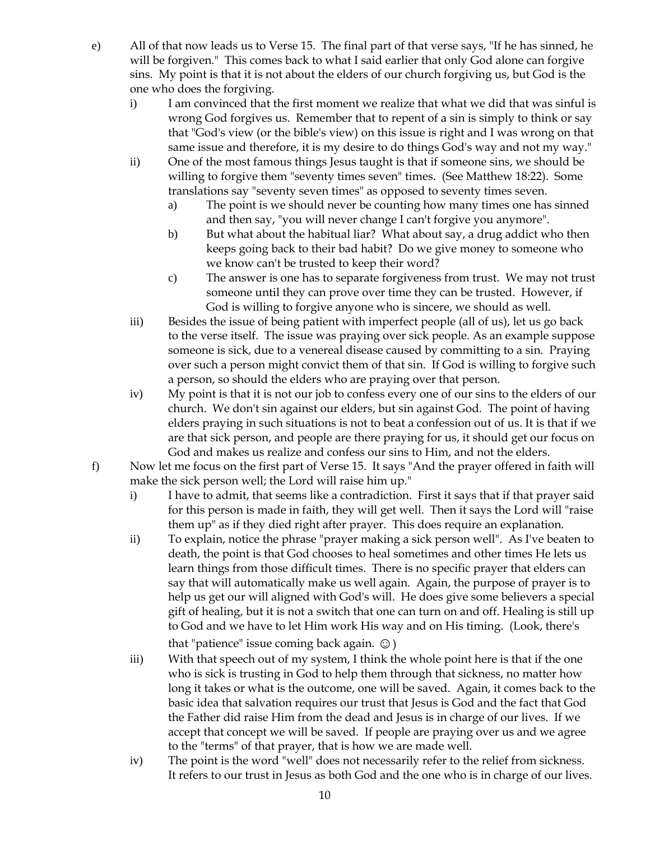- e) All of that now leads us to Verse 15. The final part of that verse says, "If he has sinned, he will be forgiven." This comes back to what I said earlier that only God alone can forgive sins. My point is that it is not about the elders of our church forgiving us, but God is the one who does the forgiving.
	- i) I am convinced that the first moment we realize that what we did that was sinful is wrong God forgives us. Remember that to repent of a sin is simply to think or say that "God's view (or the bible's view) on this issue is right and I was wrong on that same issue and therefore, it is my desire to do things God's way and not my way."
	- ii) One of the most famous things Jesus taught is that if someone sins, we should be willing to forgive them "seventy times seven" times. (See Matthew 18:22). Some translations say "seventy seven times" as opposed to seventy times seven.
		- a) The point is we should never be counting how many times one has sinned and then say, "you will never change I can't forgive you anymore".
		- b) But what about the habitual liar? What about say, a drug addict who then keeps going back to their bad habit? Do we give money to someone who we know can't be trusted to keep their word?
		- c) The answer is one has to separate forgiveness from trust. We may not trust someone until they can prove over time they can be trusted. However, if God is willing to forgive anyone who is sincere, we should as well.
	- iii) Besides the issue of being patient with imperfect people (all of us), let us go back to the verse itself. The issue was praying over sick people. As an example suppose someone is sick, due to a venereal disease caused by committing to a sin. Praying over such a person might convict them of that sin. If God is willing to forgive such a person, so should the elders who are praying over that person.
	- iv) My point is that it is not our job to confess every one of our sins to the elders of our church. We don't sin against our elders, but sin against God. The point of having elders praying in such situations is not to beat a confession out of us. It is that if we are that sick person, and people are there praying for us, it should get our focus on God and makes us realize and confess our sins to Him, and not the elders.
- f) Now let me focus on the first part of Verse 15. It says "And the prayer offered in faith will make the sick person well; the Lord will raise him up."
	- i) I have to admit, that seems like a contradiction. First it says that if that prayer said for this person is made in faith, they will get well. Then it says the Lord will "raise them up" as if they died right after prayer. This does require an explanation.
	- ii) To explain, notice the phrase "prayer making a sick person well". As I've beaten to death, the point is that God chooses to heal sometimes and other times He lets us learn things from those difficult times. There is no specific prayer that elders can say that will automatically make us well again. Again, the purpose of prayer is to help us get our will aligned with God's will. He does give some believers a special gift of healing, but it is not a switch that one can turn on and off. Healing is still up to God and we have to let Him work His way and on His timing. (Look, there's that "patience" issue coming back again.  $\odot$ )
	- iii) With that speech out of my system, I think the whole point here is that if the one who is sick is trusting in God to help them through that sickness, no matter how long it takes or what is the outcome, one will be saved. Again, it comes back to the basic idea that salvation requires our trust that Jesus is God and the fact that God the Father did raise Him from the dead and Jesus is in charge of our lives. If we accept that concept we will be saved. If people are praying over us and we agree to the "terms" of that prayer, that is how we are made well.
	- iv) The point is the word "well" does not necessarily refer to the relief from sickness. It refers to our trust in Jesus as both God and the one who is in charge of our lives.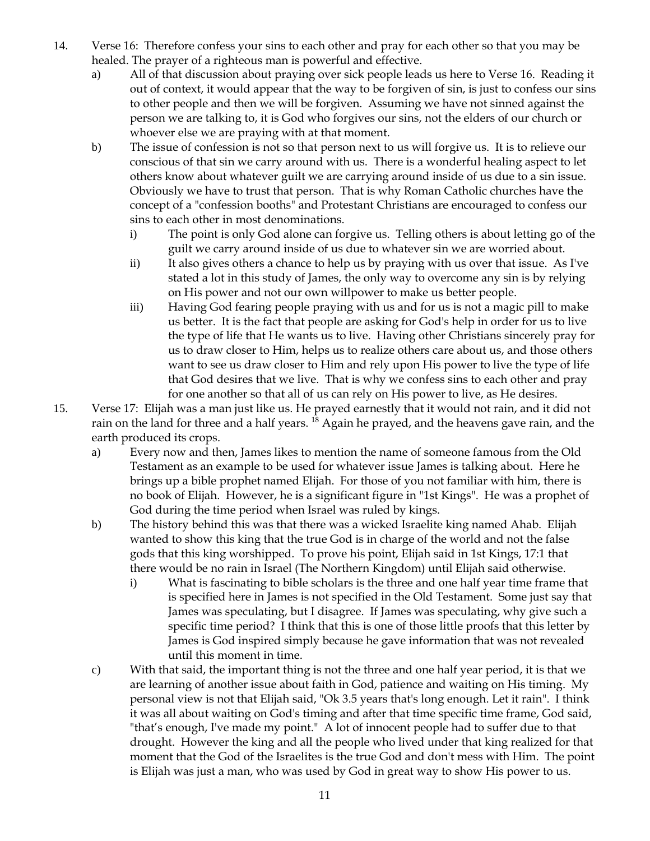- 14. Verse 16: Therefore confess your sins to each other and pray for each other so that you may be healed. The prayer of a righteous man is powerful and effective.
	- a) All of that discussion about praying over sick people leads us here to Verse 16. Reading it out of context, it would appear that the way to be forgiven of sin, is just to confess our sins to other people and then we will be forgiven. Assuming we have not sinned against the person we are talking to, it is God who forgives our sins, not the elders of our church or whoever else we are praying with at that moment.
	- b) The issue of confession is not so that person next to us will forgive us. It is to relieve our conscious of that sin we carry around with us. There is a wonderful healing aspect to let others know about whatever guilt we are carrying around inside of us due to a sin issue. Obviously we have to trust that person. That is why Roman Catholic churches have the concept of a "confession booths" and Protestant Christians are encouraged to confess our sins to each other in most denominations.
		- i) The point is only God alone can forgive us. Telling others is about letting go of the guilt we carry around inside of us due to whatever sin we are worried about.
		- ii) It also gives others a chance to help us by praying with us over that issue. As I've stated a lot in this study of James, the only way to overcome any sin is by relying on His power and not our own willpower to make us better people.
		- iii) Having God fearing people praying with us and for us is not a magic pill to make us better. It is the fact that people are asking for God's help in order for us to live the type of life that He wants us to live. Having other Christians sincerely pray for us to draw closer to Him, helps us to realize others care about us, and those others want to see us draw closer to Him and rely upon His power to live the type of life that God desires that we live. That is why we confess sins to each other and pray for one another so that all of us can rely on His power to live, as He desires.
- 15. Verse 17: Elijah was a man just like us. He prayed earnestly that it would not rain, and it did not rain on the land for three and a half years. <sup>18</sup> Again he prayed, and the heavens gave rain, and the earth produced its crops.
	- a) Every now and then, James likes to mention the name of someone famous from the Old Testament as an example to be used for whatever issue James is talking about. Here he brings up a bible prophet named Elijah. For those of you not familiar with him, there is no book of Elijah. However, he is a significant figure in "1st Kings". He was a prophet of God during the time period when Israel was ruled by kings.
	- b) The history behind this was that there was a wicked Israelite king named Ahab. Elijah wanted to show this king that the true God is in charge of the world and not the false gods that this king worshipped. To prove his point, Elijah said in 1st Kings, 17:1 that there would be no rain in Israel (The Northern Kingdom) until Elijah said otherwise.
		- i) What is fascinating to bible scholars is the three and one half year time frame that is specified here in James is not specified in the Old Testament. Some just say that James was speculating, but I disagree. If James was speculating, why give such a specific time period? I think that this is one of those little proofs that this letter by James is God inspired simply because he gave information that was not revealed until this moment in time.
	- c) With that said, the important thing is not the three and one half year period, it is that we are learning of another issue about faith in God, patience and waiting on His timing. My personal view is not that Elijah said, "Ok 3.5 years that's long enough. Let it rain". I think it was all about waiting on God's timing and after that time specific time frame, God said, "that's enough, I've made my point." A lot of innocent people had to suffer due to that drought. However the king and all the people who lived under that king realized for that moment that the God of the Israelites is the true God and don't mess with Him. The point is Elijah was just a man, who was used by God in great way to show His power to us.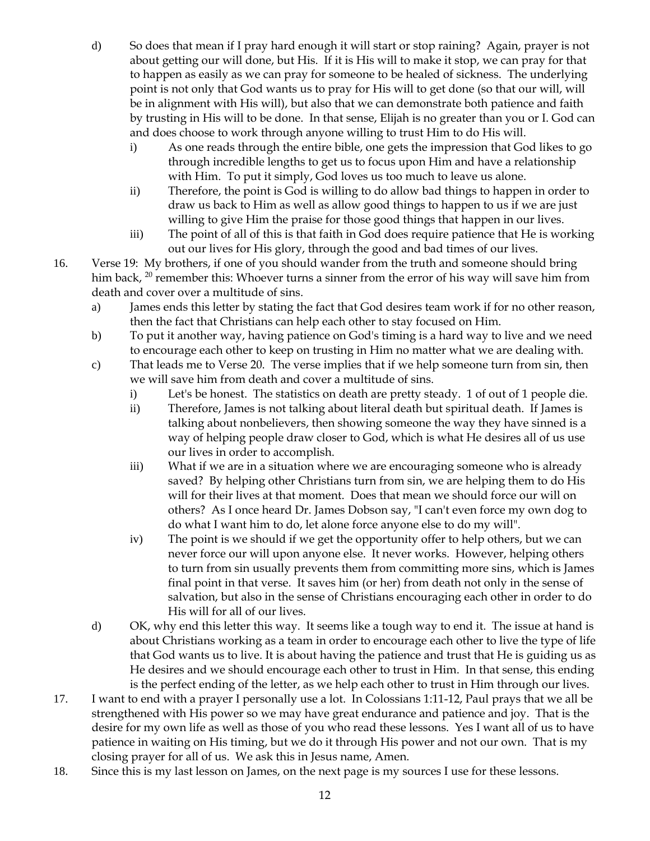- d) So does that mean if I pray hard enough it will start or stop raining? Again, prayer is not about getting our will done, but His. If it is His will to make it stop, we can pray for that to happen as easily as we can pray for someone to be healed of sickness. The underlying point is not only that God wants us to pray for His will to get done (so that our will, will be in alignment with His will), but also that we can demonstrate both patience and faith by trusting in His will to be done. In that sense, Elijah is no greater than you or I. God can and does choose to work through anyone willing to trust Him to do His will.
	- i) As one reads through the entire bible, one gets the impression that God likes to go through incredible lengths to get us to focus upon Him and have a relationship with Him. To put it simply, God loves us too much to leave us alone.
	- ii) Therefore, the point is God is willing to do allow bad things to happen in order to draw us back to Him as well as allow good things to happen to us if we are just willing to give Him the praise for those good things that happen in our lives.
	- iii) The point of all of this is that faith in God does require patience that He is working out our lives for His glory, through the good and bad times of our lives.
- 16. Verse 19: My brothers, if one of you should wander from the truth and someone should bring him back, <sup>20</sup> remember this: Whoever turns a sinner from the error of his way will save him from death and cover over a multitude of sins.
	- a) James ends this letter by stating the fact that God desires team work if for no other reason, then the fact that Christians can help each other to stay focused on Him.
	- b) To put it another way, having patience on God's timing is a hard way to live and we need to encourage each other to keep on trusting in Him no matter what we are dealing with.
	- c) That leads me to Verse 20. The verse implies that if we help someone turn from sin, then we will save him from death and cover a multitude of sins.
		- i) Let's be honest. The statistics on death are pretty steady. 1 of out of 1 people die.
		- ii) Therefore, James is not talking about literal death but spiritual death. If James is talking about nonbelievers, then showing someone the way they have sinned is a way of helping people draw closer to God, which is what He desires all of us use our lives in order to accomplish.
		- iii) What if we are in a situation where we are encouraging someone who is already saved? By helping other Christians turn from sin, we are helping them to do His will for their lives at that moment. Does that mean we should force our will on others? As I once heard Dr. James Dobson say, "I can't even force my own dog to do what I want him to do, let alone force anyone else to do my will".
		- iv) The point is we should if we get the opportunity offer to help others, but we can never force our will upon anyone else. It never works. However, helping others to turn from sin usually prevents them from committing more sins, which is James final point in that verse. It saves him (or her) from death not only in the sense of salvation, but also in the sense of Christians encouraging each other in order to do His will for all of our lives.
	- d) OK, why end this letter this way. It seems like a tough way to end it. The issue at hand is about Christians working as a team in order to encourage each other to live the type of life that God wants us to live. It is about having the patience and trust that He is guiding us as He desires and we should encourage each other to trust in Him. In that sense, this ending is the perfect ending of the letter, as we help each other to trust in Him through our lives.
- 17. I want to end with a prayer I personally use a lot. In Colossians 1:11-12, Paul prays that we all be strengthened with His power so we may have great endurance and patience and joy. That is the desire for my own life as well as those of you who read these lessons. Yes I want all of us to have patience in waiting on His timing, but we do it through His power and not our own. That is my closing prayer for all of us. We ask this in Jesus name, Amen.
- 18. Since this is my last lesson on James, on the next page is my sources I use for these lessons.